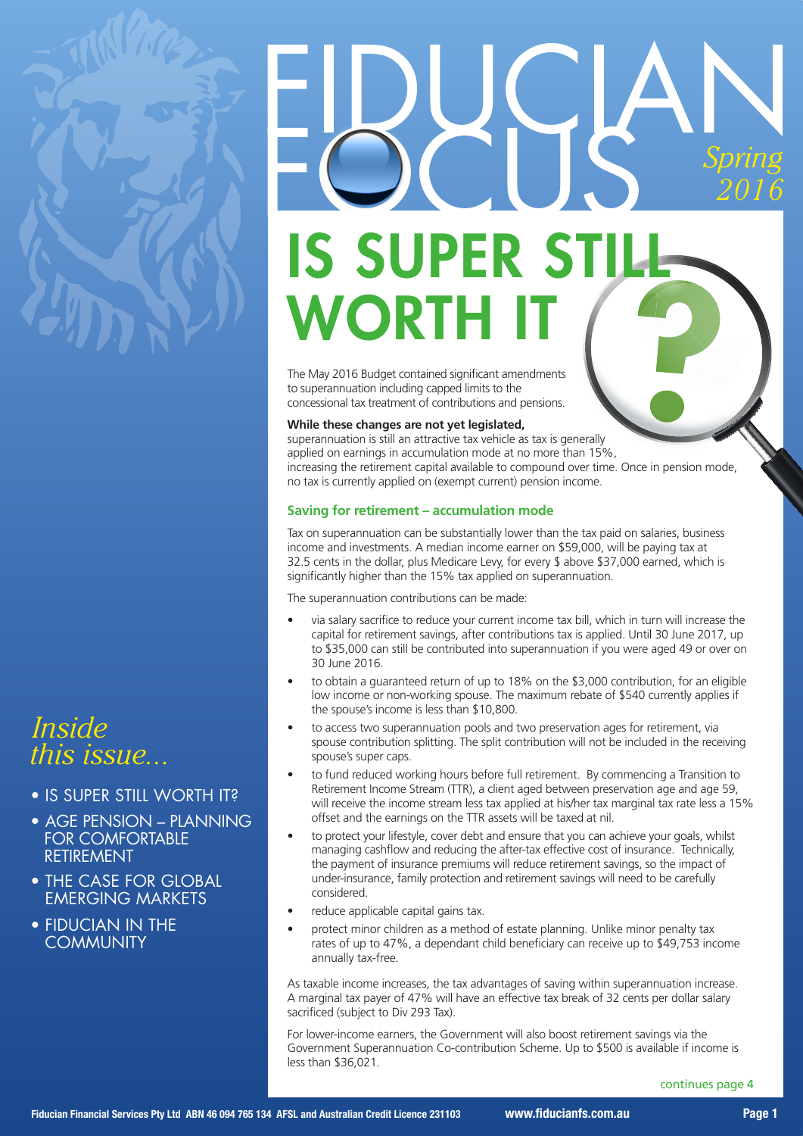

### *Inside this issue...*

- IS SUPER STILL WORTH IT?
- AGE PENSION PLANNING FOR COMFORTABLE **RETIREMENT**
- THE CASE FOR GLOBAL EMERGING MARKETS
- FIDUCIAN IN THE **COMMUNITY**

## EDUGAN *Spring 2016* ? **IS SUPER S** WORTH

The May 2016 Budget contained significant amendments to superannuation including capped limits to the concessional tax treatment of contributions and pensions.

#### **While these changes are not yet legislated,**

superannuation is still an attractive tax vehicle as tax is generally applied on earnings in accumulation mode at no more than 15%, increasing the retirement capital available to compound over time. Once in pension mode, no tax is currently applied on (exempt current) pension income.

#### **Saving for retirement – accumulation mode**

Tax on superannuation can be substantially lower than the tax paid on salaries, business income and investments. A median income earner on \$59,000, will be paying tax at 32.5 cents in the dollar, plus Medicare Levy, for every \$ above \$37,000 earned, which is significantly higher than the 15% tax applied on superannuation.

The superannuation contributions can be made:

- via salary sacrifice to reduce your current income tax bill, which in turn will increase the capital for retirement savings, after contributions tax is applied. Until 30 June 2017, up to \$35,000 can still be contributed into superannuation if you were aged 49 or over on 30 June 2016.
- to obtain a quaranteed return of up to  $18\%$  on the \$3,000 contribution, for an eligible low income or non-working spouse. The maximum rebate of \$540 currently applies if the spouse's income is less than \$10,800.
- to access two superannuation pools and two preservation ages for retirement, via spouse contribution splitting. The split contribution will not be included in the receiving spouse's super caps.
- to fund reduced working hours before full retirement. By commencing a Transition to Retirement Income Stream (TTR), a client aged between preservation age and age 59, will receive the income stream less tax applied at his/her tax marginal tax rate less a 15% offset and the earnings on the TTR assets will be taxed at nil.
- to protect your lifestyle, cover debt and ensure that you can achieve your goals, whilst managing cashflow and reducing the after-tax effective cost of insurance. Technically, the payment of insurance premiums will reduce retirement savings, so the impact of under-insurance, family protection and retirement savings will need to be carefully considered.
- reduce applicable capital gains tax.
- protect minor children as a method of estate planning. Unlike minor penalty tax rates of up to 47%, a dependant child beneficiary can receive up to \$49,753 income annually tax-free.

As taxable income increases, the tax advantages of saving within superannuation increase. A marginal tax payer of 47% will have an effective tax break of 32 cents per dollar salary sacrificed (subject to Div 293 Tax).

For lower-income earners, the Government will also boost retirement savings via the Government Superannuation Co-contribution Scheme. Up to \$500 is available if income is less than \$36,021.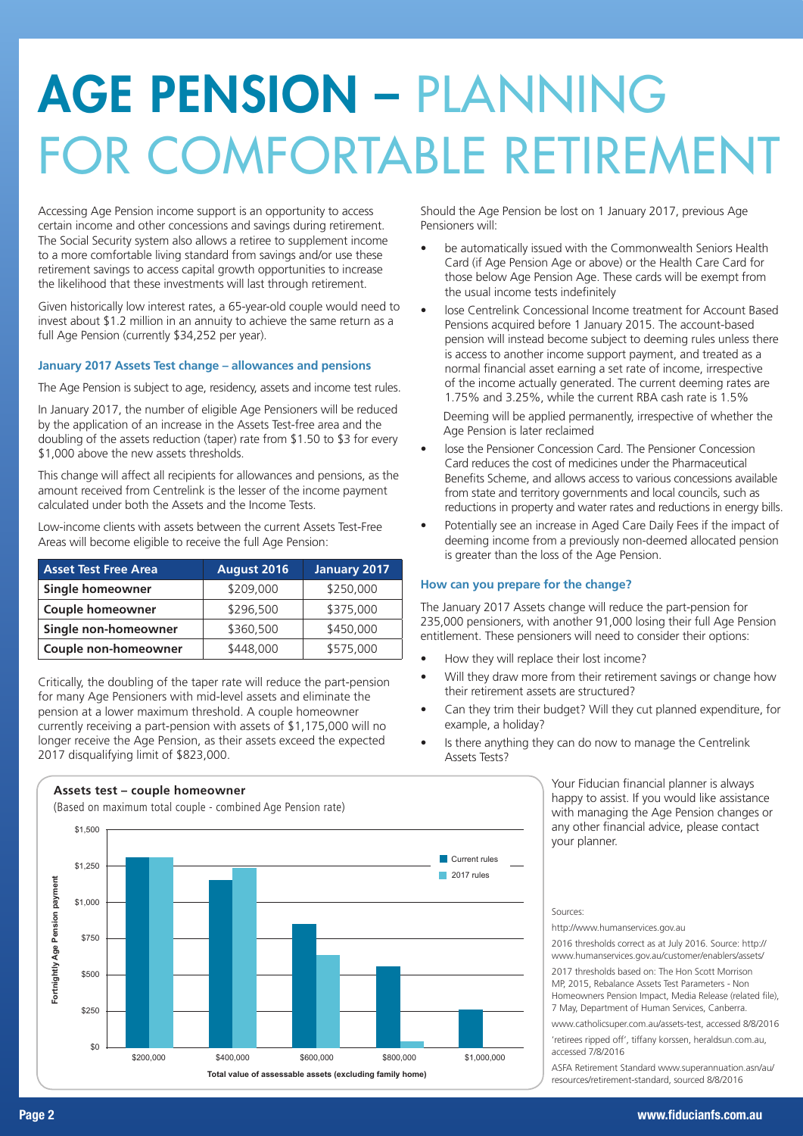## AGE PENSION – PLANNING FOR COMFORTABLE RETIREMENT

Accessing Age Pension income support is an opportunity to access certain income and other concessions and savings during retirement. The Social Security system also allows a retiree to supplement income to a more comfortable living standard from savings and/or use these retirement savings to access capital growth opportunities to increase the likelihood that these investments will last through retirement.

Given historically low interest rates, a 65-year-old couple would need to invest about \$1.2 million in an annuity to achieve the same return as a full Age Pension (currently \$34,252 per year).

#### **January 2017 Assets Test change – allowances and pensions**

The Age Pension is subject to age, residency, assets and income test rules.

In January 2017, the number of eligible Age Pensioners will be reduced by the application of an increase in the Assets Test-free area and the doubling of the assets reduction (taper) rate from \$1.50 to \$3 for every \$1,000 above the new assets thresholds.

This change will affect all recipients for allowances and pensions, as the amount received from Centrelink is the lesser of the income payment calculated under both the Assets and the Income Tests.

Low-income clients with assets between the current Assets Test-Free Areas will become eligible to receive the full Age Pension:

| <b>Asset Test Free Area</b> | August 2016 | <b>January 2017</b> |
|-----------------------------|-------------|---------------------|
| Single homeowner            | \$209,000   | \$250,000           |
| <b>Couple homeowner</b>     | \$296,500   | \$375,000           |
| Single non-homeowner        | \$360,500   | \$450,000           |
| Couple non-homeowner        | \$448,000   | \$575,000           |

Critically, the doubling of the taper rate will reduce the part-pension for many Age Pensioners with mid-level assets and eliminate the pension at a lower maximum threshold. A couple homeowner currently receiving a part-pension with assets of \$1,175,000 will no longer receive the Age Pension, as their assets exceed the expected 2017 disqualifying limit of \$823,000.

#### **Assets test – couple homeowner**

(Based on maximum total couple - combined Age Pension rate)



Should the Age Pension be lost on 1 January 2017, previous Age Pensioners will:

- be automatically issued with the Commonwealth Seniors Health Card (if Age Pension Age or above) or the Health Care Card for those below Age Pension Age. These cards will be exempt from the usual income tests indefinitely
- lose Centrelink Concessional Income treatment for Account Based Pensions acquired before 1 January 2015. The account-based pension will instead become subject to deeming rules unless there is access to another income support payment, and treated as a normal financial asset earning a set rate of income, irrespective of the income actually generated. The current deeming rates are 1.75% and 3.25%, while the current RBA cash rate is 1.5%

Deeming will be applied permanently, irrespective of whether the Age Pension is later reclaimed

- lose the Pensioner Concession Card. The Pensioner Concession Card reduces the cost of medicines under the Pharmaceutical Benefits Scheme, and allows access to various concessions available from state and territory governments and local councils, such as reductions in property and water rates and reductions in energy bills.
- Potentially see an increase in Aged Care Daily Fees if the impact of deeming income from a previously non-deemed allocated pension is greater than the loss of the Age Pension.

#### **How can you prepare for the change?**

The January 2017 Assets change will reduce the part-pension for 235,000 pensioners, with another 91,000 losing their full Age Pension entitlement. These pensioners will need to consider their options:

- How they will replace their lost income?
- Will they draw more from their retirement savings or change how their retirement assets are structured?
- Can they trim their budget? Will they cut planned expenditure, for example, a holiday?
- Is there anything they can do now to manage the Centrelink Assets Tests?

Your Fiducian financial planner is always happy to assist. If you would like assistance with managing the Age Pension changes or any other financial advice, please contact your planner.

#### Sources:

http://www.humanservices.gov.au

2016 thresholds correct as at July 2016. Source: http:// www.humanservices.gov.au/customer/enablers/assets/

2017 thresholds based on: The Hon Scott Morrison MP, 2015, Rebalance Assets Test Parameters - Non Homeowners Pension Impact, Media Release (related file), 7 May, Department of Human Services, Canberra.

www.catholicsuper.com.au/assets-test, accessed 8/8/2016 'retirees ripped off', tiffany korssen, heraldsun.com.au, accessed 7/8/2016

ASFA Retirement Standard www.superannuation.asn/au/ resources/retirement-standard, sourced 8/8/2016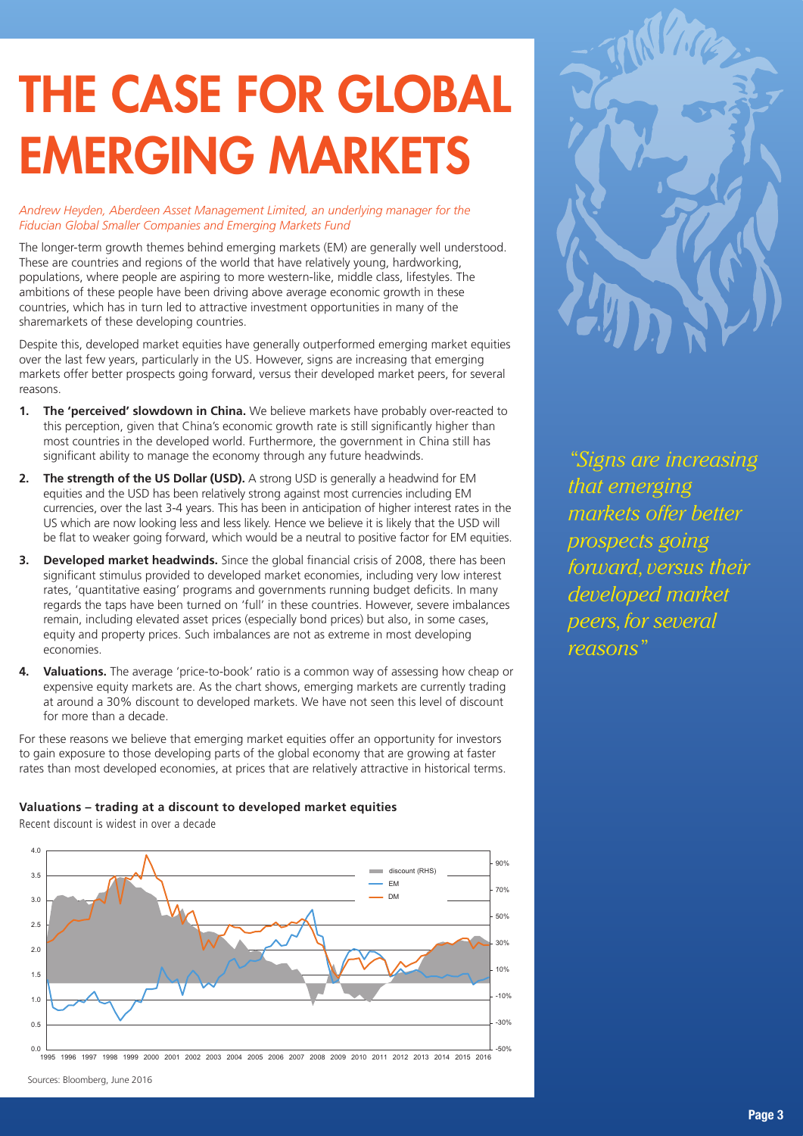## THE CASE FOR GLOBAL EMERGING MARKETS

*Andrew Heyden, Aberdeen Asset Management Limited, an underlying manager for the Fiducian Global Smaller Companies and Emerging Markets Fund*

The longer-term growth themes behind emerging markets (EM) are generally well understood. These are countries and regions of the world that have relatively young, hardworking, populations, where people are aspiring to more western-like, middle class, lifestyles. The ambitions of these people have been driving above average economic growth in these countries, which has in turn led to attractive investment opportunities in many of the sharemarkets of these developing countries.

Despite this, developed market equities have generally outperformed emerging market equities over the last few years, particularly in the US. However, signs are increasing that emerging markets offer better prospects going forward, versus their developed market peers, for several reasons.

- **1. The 'perceived' slowdown in China.** We believe markets have probably over-reacted to this perception, given that China's economic growth rate is still significantly higher than most countries in the developed world. Furthermore, the government in China still has significant ability to manage the economy through any future headwinds.
- **2. The strength of the US Dollar (USD).** A strong USD is generally a headwind for EM equities and the USD has been relatively strong against most currencies including EM currencies, over the last 3-4 years. This has been in anticipation of higher interest rates in the US which are now looking less and less likely. Hence we believe it is likely that the USD will be flat to weaker going forward, which would be a neutral to positive factor for EM equities.
- **3. Developed market headwinds.** Since the global financial crisis of 2008, there has been significant stimulus provided to developed market economies, including very low interest rates, 'quantitative easing' programs and governments running budget deficits. In many regards the taps have been turned on 'full' in these countries. However, severe imbalances remain, including elevated asset prices (especially bond prices) but also, in some cases, equity and property prices. Such imbalances are not as extreme in most developing economies.
- **4. Valuations.** The average 'price-to-book' ratio is a common way of assessing how cheap or expensive equity markets are. As the chart shows, emerging markets are currently trading at around a 30% discount to developed markets. We have not seen this level of discount for more than a decade.

For these reasons we believe that emerging market equities offer an opportunity for investors to gain exposure to those developing parts of the global economy that are growing at faster rates than most developed economies, at prices that are relatively attractive in historical terms.

#### **Valuations – trading at a discount to developed market equities**

Recent discount is widest in over a decade





*"Signs are increasing that emerging markets offer better prospects going forward, versus their developed market peers, for several reasons"*